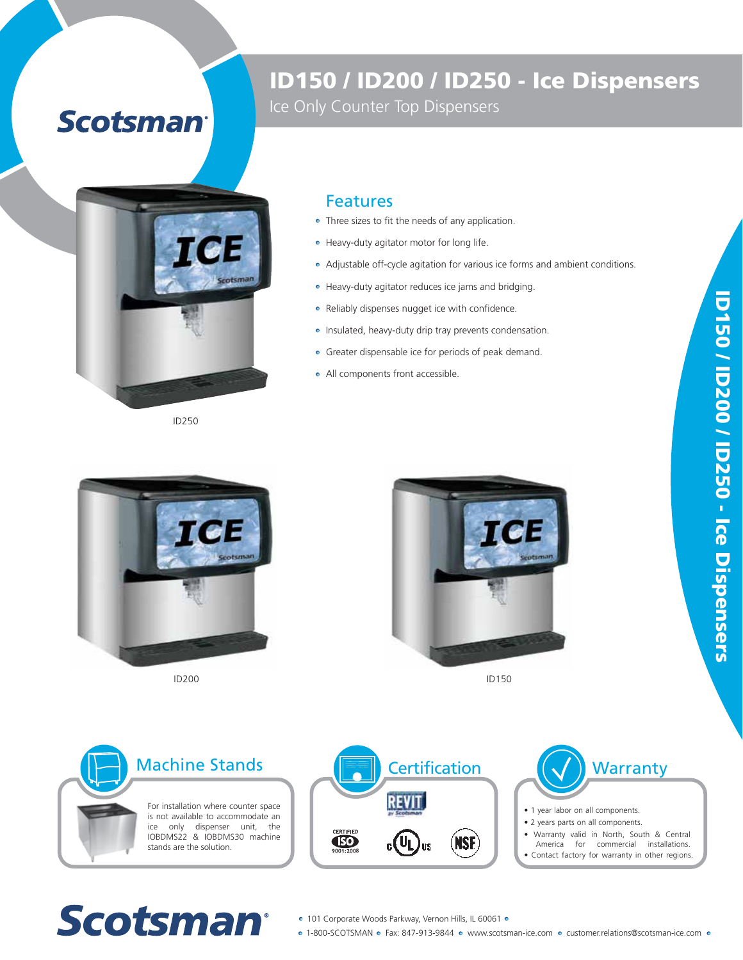## **Scotsman®**



Ice Only Counter Top Dispensers



ID250

## Features

- Three sizes to fit the needs of any application.
- Heavy-duty agitator motor for long life.
- Adjustable off-cycle agitation for various ice forms and ambient conditions.
- Heavy-duty agitator reduces ice jams and bridging.
- Reliably dispenses nugget ice with confidence.
- Insulated, heavy-duty drip tray prevents condensation.
- Greater dispensable ice for periods of peak demand.
- All components front accessible.





ID200 ID150







- 1 year labor on all components.
- 2 years parts on all components.
- Warranty valid in North, South & Central
- America for commercial installations. • Contact factory for warranty in other regions.

## **Scotsman®**

- 101 Corporate Woods Parkway, Vernon Hills, IL 60061 •
- o 1-800-SCOTSMAN o Fax: 847-913-9844 o www.scotsman-ice.com o customer.relations@scotsman-ice.com o